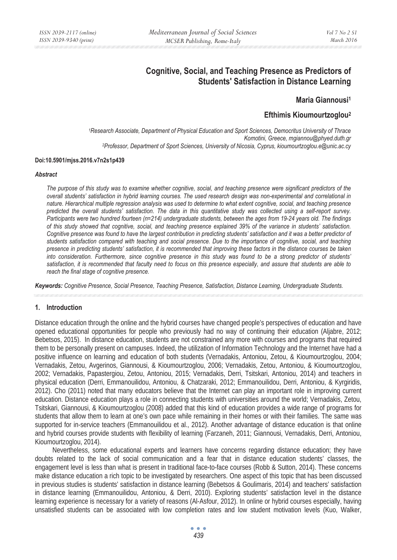# **Cognitive, Social, and Teaching Presence as Predictors of Students' Satisfaction in Distance Learning**

# **Maria Giannousi1**

# **Efthimis Kioumourtzoglou2**

*1Research Associate, Department of Physical Education and Sport Sciences, Democritus University of Thrace Komotini, Greece, mgiannou@phyed.duth.gr 2Professor, Department of Sport Sciences, University of Nicosia, Cyprus, kioumourtzoglou.e@unic.ac.cy* 

#### **Doi:10.5901/mjss.2016.v7n2s1p439**

#### *Abstract*

*The purpose of this study was to examine whether cognitive, social, and teaching presence were significant predictors of the overall students' satisfaction in hybrid learning courses. The used research design was non-experimental and correlational in nature. Hierarchical multiple regression analysis was used to determine to what extent cognitive, social, and teaching presence predicted the overall students' satisfaction. The data in this quantitative study was collected using a self-report survey. Participants were two hundred fourteen (n=214) undergraduate students, between the ages from 19-24 years old. The findings of this study showed that cognitive, social, and teaching presence explained 39% of the variance in students' satisfaction. Cognitive presence was found to have the largest contribution in predicting students' satisfaction and it was a better predictor of students satisfaction compared with teaching and social presence. Due to the importance of cognitive, social, and teaching presence in predicting students' satisfaction, it is recommended that improving these factors in the distance courses be taken into consideration. Furthermore, since cognitive presence in this study was found to be a strong predictor of students' satisfaction, it is recommended that faculty need to focus on this presence especially, and assure that students are able to reach the final stage of cognitive presence.* 

*Keywords: Cognitive Presence, Social Presence, Teaching Presence, Satisfaction, Distance Learning, Undergraduate Students.* 

#### **1. Introduction**

Distance education through the online and the hybrid courses have changed people's perspectives of education and have opened educational opportunities for people who previously had no way of continuing their education (Aljabre, 2012; Bebetsos, 2015). In distance education, students are not constrained any more with courses and programs that required them to be personally present on campuses. Indeed, the utilization of Information Technology and the Internet have had a positive influence on learning and education of both students (Vernadakis, Antoniou, Zetou, & Kioumourtzoglou, 2004; Vernadakis, Zetou, Avgerinos, Giannousi, & Kioumourtzoglou, 2006; Vernadakis, Zetou, Antoniou, & Kioumourtzoglou, 2002; Vernadakis, Papastergiou, Zetou, Antoniou, 2015; Vernadakis, Derri, Tsitskari, Antoniou, 2014) and teachers in physical education (Derri, Emmanouilidou, Antoniou, & Chatzaraki, 2012; Emmanouilidou, Derri, Antoniou, & Kyrgiridis, 2012). Cho (2011) noted that many educators believe that the Internet can play an important role in improving current education. Distance education plays a role in connecting students with universities around the world; Vernadakis, Zetou, Tsitskari, Giannousi, & Kioumourtzoglou (2008) added that this kind of education provides a wide range of programs for students that allow them to learn at one's own pace while remaining in their homes or with their families. The same was supported for in-service teachers (Emmanouilidou et al., 2012). Another advantage of distance education is that online and hybrid courses provide students with flexibility of learning (Farzaneh, 2011; Giannousi, Vernadakis, Derri, Antoniou, Kioumourtzoglou, 2014).

Nevertheless, some educational experts and learners have concerns regarding distance education; they have doubts related to the lack of social communication and a fear that in distance education students' classes, the engagement level is less than what is present in traditional face-to-face courses (Robb & Sutton, 2014). These concerns make distance education a rich topic to be investigated by researchers. One aspect of this topic that has been discussed in previous studies is students' satisfaction in distance learning (Bebetsos & Goulimaris, 2014) and teachers' satisfaction in distance learning (Emmanouilidou, Antoniou, & Derri, 2010). Exploring students' satisfaction level in the distance learning experience is necessary for a variety of reasons (Al-Asfour, 2012). In online or hybrid courses especially, having unsatisfied students can be associated with low completion rates and low student motivation levels (Kuo, Walker,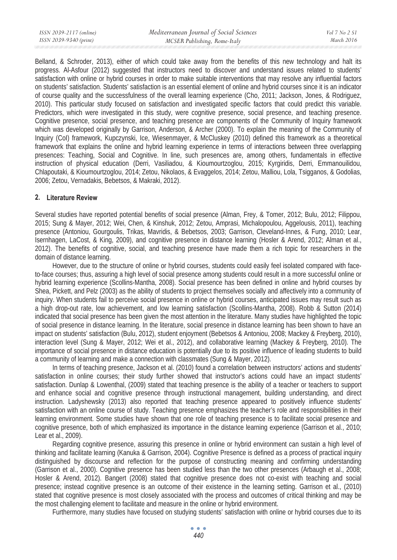Belland, & Schroder, 2013), either of which could take away from the benefits of this new technology and halt its progress. Al-Asfour (2012) suggested that instructors need to discover and understand issues related to students' satisfaction with online or hybrid courses in order to make suitable interventions that may resolve any influential factors on students' satisfaction. Students' satisfaction is an essential element of online and hybrid courses since it is an indicator of course quality and the successfulness of the overall learning experience (Cho, 2011; Jackson, Jones, & Rodriguez, 2010). This particular study focused on satisfaction and investigated specific factors that could predict this variable. Predictors, which were investigated in this study, were cognitive presence, social presence, and teaching presence. Cognitive presence, social presence, and teaching presence are components of the Community of Inquiry framework which was developed originally by Garrison, Anderson, & Archer (2000). To explain the meaning of the Community of Inquiry (CoI) framework, Kupczynski, Ice, Wiesenmayer, & McCluskey (2010) defined this framework as a theoretical framework that explains the online and hybrid learning experience in terms of interactions between three overlapping presences: Teaching, Social and Cognitive. In line, such presences are, among others, fundamentals in effective instruction of physical education (Derri, Vasiliadou, & Kioumourtzoglou, 2015; Kyrgiridis, Derri, Emmanouilidou, Chlapoutaki, & Kioumourtzoglou, 2014; Zetou, Nikolaos, & Evaggelos, 2014; Zetou, Malliou, Lola, Tsigganos, & Godolias, 2006; Zetou, Vernadakis, Bebetsos, & Makraki, 2012).

#### **2. Literature Review**

Several studies have reported potential benefits of social presence (Alman, Frey, & Tomer, 2012; Bulu, 2012; Filippou, 2015; Sung & Mayer, 2012; Wei, Chen, & Kinshuk, 2012; Zetou, Amprasi, Michalopoulou, Aggelousis, 2011), teaching presence (Antoniou, Gourgoulis, Trikas, Mavridis, & Bebetsos, 2003; Garrison, Cleveland-Innes, & Fung, 2010; Lear, Isernhagen, LaCost, & King, 2009), and cognitive presence in distance learning (Hosler & Arend, 2012; Alman et al., 2012). The benefits of cognitive, social, and teaching presence have made them a rich topic for researchers in the domain of distance learning.

However, due to the structure of online or hybrid courses, students could easily feel isolated compared with faceto-face courses; thus, assuring a high level of social presence among students could result in a more successful online or hybrid learning experience (Scollins-Mantha, 2008). Social presence has been defined in online and hybrid courses by Shea, Pickett, and Pelz (2003) as the ability of students to project themselves socially and affectively into a community of inquiry. When students fail to perceive social presence in online or hybrid courses, anticipated issues may result such as a high drop-out rate, low achievement, and low learning satisfaction (Scollins-Mantha, 2008). Robb & Sutton (2014) indicated that social presence has been given the most attention in the literature. Many studies have highlighted the topic of social presence in distance learning. In the literature, social presence in distance learning has been shown to have an impact on students' satisfaction (Bulu, 2012), student enjoyment (Bebetsos & Antoniou, 2008; Mackey & Freyberg, 2010), interaction level (Sung & Mayer, 2012; Wei et al., 2012), and collaborative learning (Mackey & Freyberg, 2010). The importance of social presence in distance education is potentially due to its positive influence of leading students to build a community of learning and make a connection with classmates (Sung & Mayer, 2012).

In terms of teaching presence, Jackson et al. (2010) found a correlation between instructors' actions and students' satisfaction in online courses; their study further showed that instructor's actions could have an impact students' satisfaction. Dunlap & Lowenthal, (2009) stated that teaching presence is the ability of a teacher or teachers to support and enhance social and cognitive presence through instructional management, building understanding, and direct instruction. Ladyshewsky (2013) also reported that teaching presence appeared to positively influence students' satisfaction with an online course of study. Teaching presence emphasizes the teacher's role and responsibilities in their learning environment. Some studies have shown that one role of teaching presence is to facilitate social presence and cognitive presence, both of which emphasized its importance in the distance learning experience (Garrison et al., 2010; Lear et al., 2009).

Regarding cognitive presence, assuring this presence in online or hybrid environment can sustain a high level of thinking and facilitate learning (Kanuka & Garrison, 2004). Cognitive Presence is defined as a process of practical inquiry distinguished by discourse and reflection for the purpose of constructing meaning and confirming understanding (Garrison et al., 2000). Cognitive presence has been studied less than the two other presences (Arbaugh et al., 2008; Hosler & Arend, 2012). Bangert (2008) stated that cognitive presence does not co-exist with teaching and social presence; instead cognitive presence is an outcome of their existence in the learning setting. Garrison et al., (2010) stated that cognitive presence is most closely associated with the process and outcomes of critical thinking and may be the most challenging element to facilitate and measure in the online or hybrid environment.

Furthermore, many studies have focused on studying students' satisfaction with online or hybrid courses due to its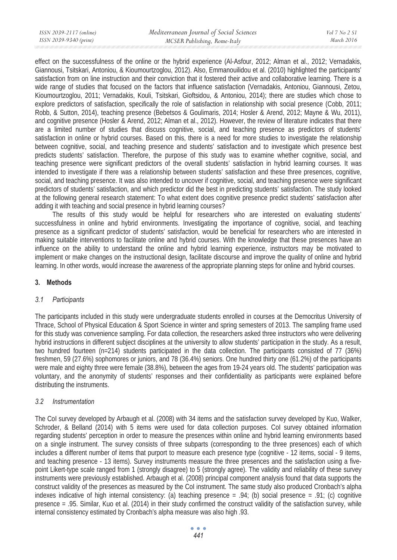| ISSN 2039-2117 (online) | Mediterranean Journal of Social Sciences | Vol 7 No 2 S1 |
|-------------------------|------------------------------------------|---------------|
| ISSN 2039-9340 (print)  | MCSER Publishing, Rome-Italy             | March 2016    |
|                         |                                          |               |

effect on the successfulness of the online or the hybrid experience (Al-Asfour, 2012; Alman et al., 2012; Vernadakis, Giannousi, Tsitskari, Antoniou, & Kioumourtzoglou, 2012). Also, Emmanouilidou et al. (2010) highlighted the participants' satisfaction from on line instruction and their conviction that it fostered their active and collaborative learning. There is a wide range of studies that focused on the factors that influence satisfaction (Vernadakis, Antoniou, Giannousi, Zetou, Kioumourtzoglou, 2011; Vernadakis, Kouli, Tsitskari, Gioftsidou, & Antoniou, 2014); there are studies which chose to explore predictors of satisfaction, specifically the role of satisfaction in relationship with social presence (Cobb, 2011; Robb, & Sutton, 2014), teaching presence (Bebetsos & Goulimaris, 2014; Hosler & Arend, 2012; Mayne & Wu, 2011), and cognitive presence (Hosler & Arend, 2012; Alman et al., 2012). However, the review of literature indicates that there are a limited number of studies that discuss cognitive, social, and teaching presence as predictors of students' satisfaction in online or hybrid courses. Based on this, there is a need for more studies to investigate the relationship between cognitive, social, and teaching presence and students' satisfaction and to investigate which presence best predicts students' satisfaction. Therefore, the purpose of this study was to examine whether cognitive, social, and teaching presence were significant predictors of the overall students' satisfaction in hybrid learning courses. It was intended to investigate if there was a relationship between students' satisfaction and these three presences, cognitive, social, and teaching presence. It was also intended to uncover if cognitive, social, and teaching presence were significant predictors of students' satisfaction, and which predictor did the best in predicting students' satisfaction. The study looked at the following general research statement: To what extent does cognitive presence predict students' satisfaction after adding it with teaching and social presence in hybrid learning courses?

The results of this study would be helpful for researchers who are interested on evaluating students' successfulness in online and hybrid environments. Investigating the importance of cognitive, social, and teaching presence as a significant predictor of students' satisfaction, would be beneficial for researchers who are interested in making suitable interventions to facilitate online and hybrid courses. With the knowledge that these presences have an influence on the ability to understand the online and hybrid learning experience, instructors may be motivated to implement or make changes on the instructional design, facilitate discourse and improve the quality of online and hybrid learning. In other words, would increase the awareness of the appropriate planning steps for online and hybrid courses.

# **3. Methods**

#### *3.1 Participants*

The participants included in this study were undergraduate students enrolled in courses at the Democritus University of Thrace, School of Physical Education & Sport Science in winter and spring semesters of 2013. The sampling frame used for this study was convenience sampling. For data collection, the researchers asked three instructors who were delivering hybrid instructions in different subject disciplines at the university to allow students' participation in the study. As a result, two hundred fourteen (n=214) students participated in the data collection. The participants consisted of 77 (36%) freshmen, 59 (27.6%) sophomores or juniors, and 78 (36.4%) seniors. One hundred thirty one (61.2%) of the participants were male and eighty three were female (38.8%), between the ages from 19-24 years old. The students' participation was voluntary, and the anonymity of students' responses and their confidentiality as participants were explained before distributing the instruments.

# *3.2 Instrumentation*

The CoI survey developed by Arbaugh et al. (2008) with 34 items and the satisfaction survey developed by Kuo, Walker, Schroder, & Belland (2014) with 5 items were used for data collection purposes. CoI survey obtained information regarding students' perception in order to measure the presences within online and hybrid learning environments based on a single instrument. The survey consists of three subparts (corresponding to the three presences) each of which includes a different number of items that purport to measure each presence type (cognitive - 12 items, social - 9 items, and teaching presence - 13 items). Survey instruments measure the three presences and the satisfaction using a fivepoint Likert-type scale ranged from 1 (strongly disagree) to 5 (strongly agree). The validity and reliability of these survey instruments were previously established. Arbaugh et al. (2008) principal component analysis found that data supports the construct validity of the presences as measured by the CoI instrument. The same study also produced Cronbach's alpha indexes indicative of high internal consistency: (a) teaching presence =  $.94$ ; (b) social presence =  $.91$ ; (c) cognitive presence = .95. Similar, Kuo et al. (2014) in their study confirmed the construct validity of the satisfaction survey, while internal consistency estimated by Cronbach's alpha measure was also high .93.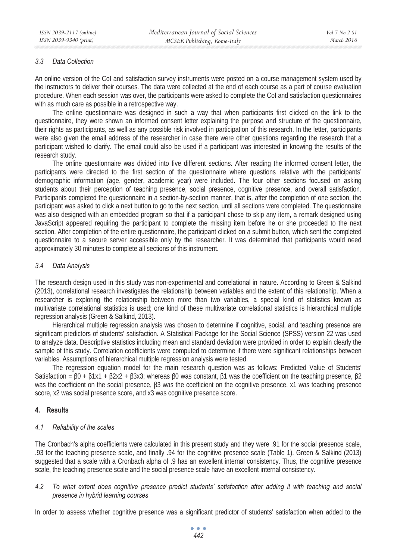#### *3.3 Data Collection*

An online version of the CoI and satisfaction survey instruments were posted on a course management system used by the instructors to deliver their courses. The data were collected at the end of each course as a part of course evaluation procedure. When each session was over, the participants were asked to complete the CoI and satisfaction questionnaires with as much care as possible in a retrospective way.

The online questionnaire was designed in such a way that when participants first clicked on the link to the questionnaire, they were shown an informed consent letter explaining the purpose and structure of the questionnaire, their rights as participants, as well as any possible risk involved in participation of this research. In the letter, participants were also given the email address of the researcher in case there were other questions regarding the research that a participant wished to clarify. The email could also be used if a participant was interested in knowing the results of the research study.

The online questionnaire was divided into five different sections. After reading the informed consent letter, the participants were directed to the first section of the questionnaire where questions relative with the participants' demographic information (age, gender, academic year) were included. The four other sections focused on asking students about their perception of teaching presence, social presence, cognitive presence, and overall satisfaction. Participants completed the questionnaire in a section-by-section manner, that is, after the completion of one section, the participant was asked to click a next button to go to the next section, until all sections were completed. The questionnaire was also designed with an embedded program so that if a participant chose to skip any item, a remark designed using JavaScript appeared requiring the participant to complete the missing item before he or she proceeded to the next section. After completion of the entire questionnaire, the participant clicked on a submit button, which sent the completed questionnaire to a secure server accessible only by the researcher. It was determined that participants would need approximately 30 minutes to complete all sections of this instrument.

#### *3.4 Data Analysis*

The research design used in this study was non-experimental and correlational in nature. According to Green & Salkind (2013), correlational research investigates the relationship between variables and the extent of this relationship. When a researcher is exploring the relationship between more than two variables, a special kind of statistics known as multivariate correlational statistics is used; one kind of these multivariate correlational statistics is hierarchical multiple regression analysis (Green & Salkind, 2013).

Hierarchical multiple regression analysis was chosen to determine if cognitive, social, and teaching presence are significant predictors of students' satisfaction. A Statistical Package for the Social Science (SPSS) version 22 was used to analyze data. Descriptive statistics including mean and standard deviation were provided in order to explain clearly the sample of this study. Correlation coefficients were computed to determine if there were significant relationships between variables. Assumptions of hierarchical multiple regression analysis were tested.

The regression equation model for the main research question was as follows: Predicted Value of Students' Satisfaction =  $B0 + B1x1 + B2x2 + B3x3$ ; whereas  $B0$  was constant,  $B1$  was the coefficient on the teaching presence,  $B2$ was the coefficient on the social presence, β3 was the coefficient on the cognitive presence, x1 was teaching presence score, x2 was social presence score, and x3 was cognitive presence score.

# **4. Results**

# *4.1 Reliability of the scales*

The Cronbach's alpha coefficients were calculated in this present study and they were .91 for the social presence scale, .93 for the teaching presence scale, and finally .94 for the cognitive presence scale (Table 1). Green & Salkind (2013) suggested that a scale with a Cronbach alpha of .9 has an excellent internal consistency. Thus, the cognitive presence scale, the teaching presence scale and the social presence scale have an excellent internal consistency.

#### *4.2 To what extent does cognitive presence predict students' satisfaction after adding it with teaching and social presence in hybrid learning courses*

In order to assess whether cognitive presence was a significant predictor of students' satisfaction when added to the

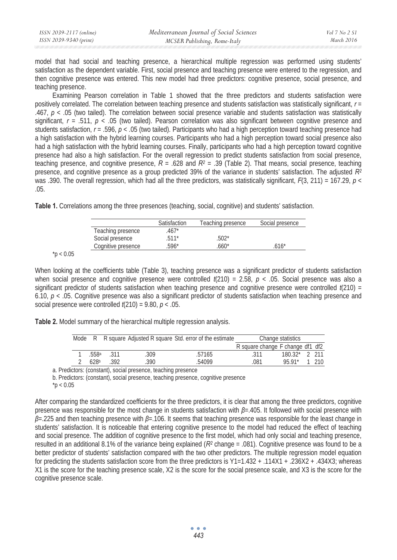| ISSN 2039-2117 (online) | Mediterranean Journal of Social Sciences | Vol 7 No 2 S1 |
|-------------------------|------------------------------------------|---------------|
| ISSN 2039-9340 (print)  | MCSER Publishing, Rome-Italy             | March 2016    |

model that had social and teaching presence, a hierarchical multiple regression was performed using students' satisfaction as the dependent variable. First, social presence and teaching presence were entered to the regression, and then cognitive presence was entered. This new model had three predictors: cognitive presence, social presence, and teaching presence.

Examining Pearson correlation in Table 1 showed that the three predictors and students satisfaction were positively correlated. The correlation between teaching presence and students satisfaction was statistically significant, *r* = .467, *p* < .05 (two tailed). The correlation between social presence variable and students satisfaction was statistically significant,  $r = .511$ ,  $p < .05$  (two tailed). Pearson correlation was also significant between cognitive presence and students satisfaction,  $r = .596$ ,  $p < .05$  (two tailed). Participants who had a high perception toward teaching presence had a high satisfaction with the hybrid learning courses. Participants who had a high perception toward social presence also had a high satisfaction with the hybrid learning courses. Finally, participants who had a high perception toward cognitive presence had also a high satisfaction. For the overall regression to predict students satisfaction from social presence, teaching presence, and cognitive presence,  $R = .628$  and  $R^2 = .39$  (Table 2). That means, social presence, teaching presence, and cognitive presence as a group predicted 39% of the variance in students' satisfaction. The adjusted *R2* was .390. The overall regression, which had all the three predictors, was statistically significant,  $F(3, 211) = 167.29$ ,  $p \lt$ .05.

**Table 1.** Correlations among the three presences (teaching, social, cognitive) and students' satisfaction.

|                    | Satisfaction | Teaching presence | Social presence |
|--------------------|--------------|-------------------|-----------------|
| Teaching presence  | $.467*$      |                   |                 |
| Social presence    | $.511*$      | .502*             |                 |
| Cognitive presence | .596*        | $.660*$           | $.616*$         |

 $^*p < 0.05$ 

When looking at the coefficients table (Table 3), teaching presence was a significant predictor of students satisfaction when social presence and cognitive presence were controlled  $t(210) = 2.58$ ,  $p < 0.05$ . Social presence was also a significant predictor of students satisfaction when teaching presence and cognitive presence were controlled *t*(210) = 6.10, *p* < .05. Cognitive presence was also a significant predictor of students satisfaction when teaching presence and social presence were controlled *t*(210) = 9.80, *p* < .05.

**Table 2.** Model summary of the hierarchical multiple regression analysis.

| Mode |       |      | R R square Adjusted R square Std. error of the estimate |        | Change statistics                |                  |  |        |
|------|-------|------|---------------------------------------------------------|--------|----------------------------------|------------------|--|--------|
|      |       |      |                                                         |        | R square change F change df1 df2 |                  |  |        |
|      | .558ª | -311 | .309                                                    | .57165 | .311                             | $180.32^*$ 2 211 |  |        |
|      | 628b  | 392  | .390                                                    | .54099 | .081                             | $95.91*$         |  | 1, 210 |

a. Predictors: (constant), social presence, teaching presence

b. Predictors: (constant), social presence, teaching presence, cognitive presence

 $*p < 0.05$ 

After comparing the standardized coefficients for the three predictors, it is clear that among the three predictors, cognitive presence was responsible for the most change in students satisfaction with *ȕ*=.405. It followed with social presence with  $\beta$ =.225 and then teaching presence with  $\beta$ =.106. It seems that teaching presence was responsible for the least change in students' satisfaction. It is noticeable that entering cognitive presence to the model had reduced the effect of teaching and social presence. The addition of cognitive presence to the first model, which had only social and teaching presence, resulted in an additional 8.1% of the variance being explained (*R2* change = .081). Cognitive presence was found to be a better predictor of students' satisfaction compared with the two other predictors. The multiple regression model equation for predicting the students satisfaction score from the three predictors is Y1=1.432 + .114X1 + .236X2 + .434X3; whereas X1 is the score for the teaching presence scale, X2 is the score for the social presence scale, and X3 is the score for the cognitive presence scale.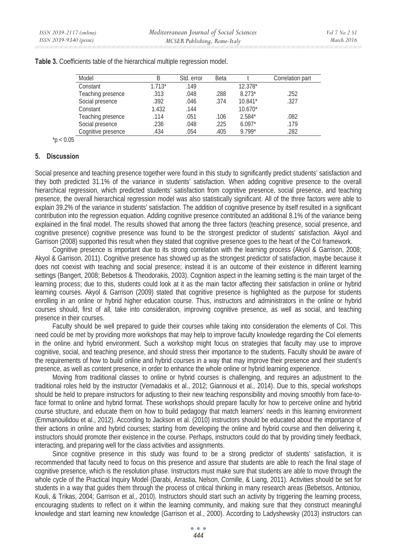| Model              |          | Std. error | Beta |           | Correlation part |
|--------------------|----------|------------|------|-----------|------------------|
| Constant           | $1.713*$ | .149       |      | $12.378*$ |                  |
| Teaching presence  | .313     | .048       | .288 | $8.273*$  | .252             |
| Social presence    | .392     | .046       | .374 | 10.841*   | .327             |
| Constant           | 1.432    | .144       |      | $10.670*$ |                  |
| Teaching presence  | .114     | .051       | .106 | $2.584*$  | .082             |
| Social presence    | .236     | .048       | .225 | $6.097*$  | .179             |
| Cognitive presence | .434     | .054       | .405 | $9.799*$  | .282             |

**Table 3.** Coefficients table of the hierarchical multiple regression model.

 ${}^{\star}p < 0.05$ 

# **5. Discussion**

Social presence and teaching presence together were found in this study to significantly predict students' satisfaction and they both predicted 31.1% of the variance in students' satisfaction. When adding cognitive presence to the overall hierarchical regression, which predicted students' satisfaction from cognitive presence, social presence, and teaching presence, the overall hierarchical regression model was also statistically significant. All of the three factors were able to explain 39.2% of the variance in students' satisfaction. The addition of cognitive presence by itself resulted in a significant contribution into the regression equation. Adding cognitive presence contributed an additional 8.1% of the variance being explained in the final model. The results showed that among the three factors (teaching presence, social presence, and cognitive presence) cognitive presence was found to be the strongest predictor of students' satisfaction. Akyol and Garrison (2008) supported this result when they stated that cognitive presence goes to the heart of the CoI framework.

Cognitive presence is important due to its strong correlation with the learning process (Akyol & Garrison, 2008; Akyol & Garrison, 2011). Cognitive presence has showed up as the strongest predictor of satisfaction, maybe because it does not coexist with teaching and social presence; instead it is an outcome of their existence in different learning settings (Bangert, 2008; Bebetsos & Theodorakis, 2003). Cognition aspect in the learning setting is the main target of the learning process; due to this, students could look at it as the main factor affecting their satisfaction in online or hybrid learning courses. Akyol & Garrison (2009) stated that cognitive presence is highlighted as the purpose for students enrolling in an online or hybrid higher education course. Thus, instructors and administrators in the online or hybrid courses should, first of all, take into consideration, improving cognitive presence, as well as social, and teaching presence in their courses.

Faculty should be well prepared to guide their courses while taking into consideration the elements of CoI. This need could be met by providing more workshops that may help to improve faculty knowledge regarding the CoI elements in the online and hybrid environment. Such a workshop might focus on strategies that faculty may use to improve cognitive, social, and teaching presence, and should stress their importance to the students. Faculty should be aware of the requirements of how to build online and hybrid courses in a way that may improve their presence and their student's presence, as well as content presence, in order to enhance the whole online or hybrid learning experience.

Moving from traditional classes to online or hybrid courses is challenging, and requires an adjustment to the traditional roles held by the instructor (Vernadakis et al., 2012; Giannousi et al., 2014). Due to this, special workshops should be held to prepare instructors for adjusting to their new teaching responsibility and moving smoothly from face-toface format to online and hybrid format. These workshops should prepare faculty for how to perceive online and hybrid course structure, and educate them on how to build pedagogy that match learners' needs in this learning environment (Emmanouilidou et al., 2012). According to Jackson et al. (2010) instructors should be educated about the importance of their actions in online and hybrid courses; starting from developing the online and hybrid course and then delivering it, instructors should promote their existence in the course. Perhaps, instructors could do that by providing timely feedback, interacting, and preparing well for the class activities and assignments.

Since cognitive presence in this study was found to be a strong predictor of students' satisfaction, it is recommended that faculty need to focus on this presence and assure that students are able to reach the final stage of cognitive presence, which is the resolution phase. Instructors must make sure that students are able to move through the whole cycle of the Practical Inquiry Model (Darabi, Arrastia, Nelson, Cornille, & Liang, 2011). Activities should be set for students in a way that guides them through the process of critical thinking in many research areas (Bebetsos, Antoniou, Kouli, & Trikas, 2004; Garrison et al., 2010). Instructors should start such an activity by triggering the learning process, encouraging students to reflect on it within the learning community, and making sure that they construct meaningful knowledge and start learning new knowledge (Garrison et al., 2000). According to Ladyshewsky (2013) instructors can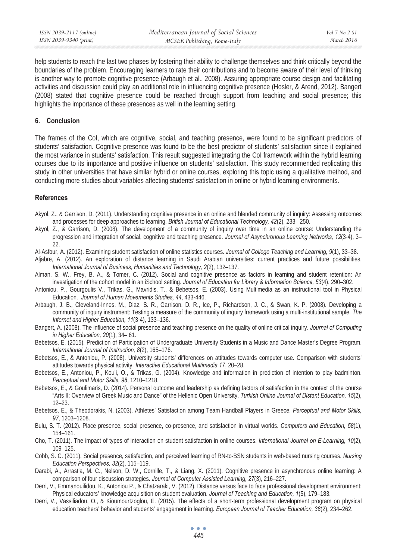help students to reach the last two phases by fostering their ability to challenge themselves and think critically beyond the boundaries of the problem. Encouraging learners to rate their contributions and to become aware of their level of thinking is another way to promote cognitive presence (Arbaugh et al., 2008). Assuring appropriate course design and facilitating activities and discussion could play an additional role in influencing cognitive presence (Hosler, & Arend, 2012). Bangert (2008) stated that cognitive presence could be reached through support from teaching and social presence; this highlights the importance of these presences as well in the learning setting.

#### **6. Conclusion**

The frames of the CoI, which are cognitive, social, and teaching presence, were found to be significant predictors of students' satisfaction. Cognitive presence was found to be the best predictor of students' satisfaction since it explained the most variance in students' satisfaction. This result suggested integrating the CoI framework within the hybrid learning courses due to its importance and positive influence on students' satisfaction. This study recommended replicating this study in other universities that have similar hybrid or online courses, exploring this topic using a qualitative method, and conducting more studies about variables affecting students' satisfaction in online or hybrid learning environments.

#### **References**

- Akyol, Z., & Garrison, D. (2011). Understanding cognitive presence in an online and blended community of inquiry: Assessing outcomes and processes for deep approaches to learning. *British Journal of Educational Technology, 42*(2), 233– 250.
- Akyol, Z., & Garrison, D. (2008). The development of a community of inquiry over time in an online course: Understanding the progression and integration of social, cognitive and teaching presence. *Journal of Asynchronous Learning Networks, 12*(3-4), 3–  $22.2$
- Al-Asfour, A. (2012). Examining student satisfaction of online statistics courses. *Journal of College Teaching and Learning, 9*(1), 33–38.

Aljabre, A. (2012). An exploration of distance learning in Saudi Arabian universities: current practices and future possibilities. *International Journal of Business, Humanities and Technology, 2*(2), 132–137.

- Alman, S. W., Frey, B. A., & Tomer, C. (2012). Social and cognitive presence as factors in learning and student retention: An investigation of the cohort model in an iSchool setting. *Journal of Education for Library & Information Science, 53*(4), 290–302.
- Antoniou, P., Gourgoulis V., Trikas, G., Mavridis, T., & Bebetsos, E. (2003). Using Multimedia as an instructional tool in Physical Education. *Journal of Human Movements Studies, 44*, 433-446.
- Arbaugh, J. B., Cleveland-Innes, M., Diaz, S. R., Garrison, D. R., Ice, P., Richardson, J. C., & Swan, K. P. (2008). Developing a community of inquiry instrument: Testing a measure of the community of inquiry framework using a multi-institutional sample. *The Internet and Higher Education, 11*(3-4), 133–136.
- Bangert, A. (2008). The influence of social presence and teaching presence on the quality of online critical inquiry. *Journal of Computing in Higher Education, 20*(1), 34– 61.
- Bebetsos, E. (2015). Prediction of Participation of Undergraduate University Students in a Music and Dance Master's Degree Program. *International Journal of Instruction, 8*(2), 165–176.
- Bebetsos, E., & Antoniou, P. (2008). University students' differences on attitudes towards computer use. Comparison with students' attitudes towards physical activity*. Interactive Educational Multimedia 17*, 20–28.
- Bebetsos, E., Antoniou, P., Kouli, O., & Trikas, G. (2004). Knowledge and information in prediction of intention to play badminton. *Perceptual and Motor Skills, 98*, 1210–1218.
- Bebetsos, E., & Goulimaris, D. (2014). Personal outcome and leadership as defining factors of satisfaction in the context of the course "Arts II: Overview of Greek Music and Dance" of the Hellenic Open University. *Turkish Online Journal of Distant Education, 15*(2), 12–23.
- Bebetsos, E., & Theodorakis, N. (2003). Athletes' Satisfaction among Team Handball Players in Greece. *Perceptual and Motor Skills, 97*, 1203–1208.
- Bulu, S. T. (2012). Place presence, social presence, co-presence, and satisfaction in virtual worlds. *Computers and Education, 58*(1), 154–161.
- Cho, T. (2011). The impact of types of interaction on student satisfaction in online courses. *International Journal on E-Learning, 10*(2), 109–125.
- Cobb, S. C. (2011). Social presence, satisfaction, and perceived learning of RN-to-BSN students in web-based nursing courses. *Nursing Education Perspectives, 32*(2), 115–119.
- Darabi, A., Arrastia, M. C., Nelson, D. W., Cornille, T., & Liang, X. (2011). Cognitive presence in asynchronous online learning: A comparison of four discussion strategies. *Journal of Computer Assisted Learning, 27*(3), 216–227.
- Derri, V., Emmanouilidou, K., Antoniou P., & Chatzaraki, V. (2012). Distance versus face to face professional development environment: Physical educators' knowledge acquisition on student evaluation. *Journal of Teaching and Education, 1*(5), 179–183.
- Derri, V., Vassiliadou, O., & Kioumourtzoglou, E. (2015). The effects of a short-term professional development program on physical education teachers' behavior and students' engagement in learning. *European Journal of Teacher Education, 38*(2), 234–262.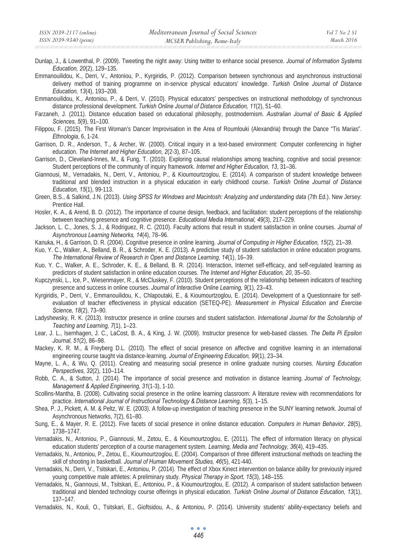- Dunlap, J., & Lowenthal, P. (2009). Tweeting the night away: Using twitter to enhance social presence. *Journal of Information Systems Education, 20*(2), 129–135.
- Emmanouilidou, K., Derri, V., Antoniou, P., Kyrgiridis, P. (2012). Comparison between synchronous and asynchronous instructional delivery method of training programme on in-service physical educators' knowledge. *Turkish Online Journal of Distance Education, 13*(4), 193–208.
- Emmanouilidou, K., Antoniou, P., & Derri, V. (2010). Physical educators' perspectives on instructional methodology of synchronous distance professional development. *Turkish Online Journal of Distance Education, 11*(2), 51–60.
- Farzaneh, J. (2011). Distance education based on educational philosophy, postmodernism. *Australian Journal of Basic & Applied Sciences, 5*(9), 91–100.
- Filippou, F. (2015). The First Woman's Dancer Improvisation in the Area of Roumlouki (Alexandria) through the Dance "Tis Marias". *Ethnologia*, 6, 1-24.
- Garrison, D. R., Anderson, T., & Archer, W. (2000). Critical inquiry in a text-based environment: Computer conferencing in higher education. *The Internet and Higher Education, 2*(2-3), 87–105.
- Garrison, D., Cleveland-Innes, M., & Fung, T. (2010). Exploring causal relationships among teaching, cognitive and social presence: Student perceptions of the community of inquiry framework. *Internet and Higher Education, 13*, 31–36.
- Giannousi, M., Vernadakis, N., Derri, V., Antoniou, P., & Kioumourtzoglou, E. (2014). A comparison of student knowledge between traditional and blended instruction in a physical education in early childhood course. *Turkish Online Journal of Distance Education, 15*(1), 99-113.
- Green, B.S., & Salkind, J.N. (2013). *Using SPSS for Windows and Macintosh: Analyzing and understanding data* (7th Ed.). New Jersey: Prentice Hall.
- Hosler, K. A., & Arend, B. D. (2012). The importance of course design, feedback, and facilitation: student perceptions of the relationship between teaching presence and cognitive presence. *Educational Media International, 49*(3), 217–229.
- Jackson, L. C., Jones, S. J., & Rodriguez, R. C. (2010). Faculty actions that result in student satisfaction in online courses. *Journal of Asynchronous Learning Networks, 14*(4), 78–96.
- Kanuka, H., & Garrison, D. R. (2004). Cognitive presence in online learning. *Journal of Computing in Higher Education, 15*(2), 21–39.
- Kuo, Y. C., Walker, A., Belland, B. R., & Schroder, K. E. (2013). A predictive study of student satisfaction in online education programs. *The International Review of Research in Open and Distance Learning, 14*(1), 16–39.
- Kuo, Y. C., Walker, A. E., Schroder, K. E., & Belland, B. R. (2014). Interaction, Internet self-efficacy, and self-regulated learning as predictors of student satisfaction in online education courses. *The Internet and Higher Education, 20*, 35–50.
- Kupczynski, L., Ice, P., Wiesenmayer, R., & McCluskey, F. (2010). Student perceptions of the relationship between indicators of teaching presence and success in online courses. *Journal of Interactive Online Learning, 9*(1), 23–43.
- Kyrgiridis, P., Derri, V., Emmanouilidou, K., Chlapoutaki, E., & Kioumourtzoglou, E. (2014). Development of a Questionnaire for selfevaluation of teacher effectiveness in physical education (SETEQ-PE). *Measurement in Physical Education and Exercise Science, 18*(2), 73–90.
- Ladyshewsky, R. K. (2013). Instructor presence in online courses and student satisfaction. *International Journal for the Scholarship of Teaching and Learning, 7*(1), 1–23.
- Lear, J. L., Isernhagen, J. C., LaCost, B. A., & King, J. W. (2009). Instructor presence for web-based classes. *The Delta Pi Epsilon Journal, 51*(2), 86–98.
- Mackey, K. R. M., & Freyberg D.L. (2010). The effect of social presence on affective and cognitive learning in an international engineering course taught via distance-learning. *Journal of Engineering Education, 99*(1), 23–34.
- Mayne, L. A., & Wu, Q. (2011). Creating and measuring social presence in online graduate nursing courses. *Nursing Education Perspectives, 32*(2), 110–114.
- Robb, C. A., & Sutton, J. (2014). The importance of social presence and motivation in distance learning. *Journal of Technology, Management & Applied Engineering, 31*(1-3), 1-10.
- Scollins-Mantha, B. (2008). Cultivating social presence in the online learning classroom: A literature review with recommendations for practice. *International Journal of Instructional Technology & Distance Learning, 5*(3), 1–15.
- Shea, P. J., Pickett, A. M. & Peltz, W. E. (2003). A follow-up investigation of teaching presence in the SUNY learning network. Journal of Asynchronous Networks, 7(2), 61–80.
- Sung, E., & Mayer, R. E. (2012). Five facets of social presence in online distance education. *Computers in Human Behavior, 28*(5), 1738–1747.
- Vernadakis, N., Antoniou, P., Giannousi, M., Zetou, E., & Kioumourtzoglou, E. (2011). The effect of information literacy on physical education students' perception of a course management system. *Learning, Media and Technology, 36*(4), 419–435.
- Vernadakis, N., Antoniou, P., Zetou, E., Kioumourtzoglou, E. (2004). Comparison of three different instructional methods on teaching the skill of shooting in basketball. *Journal of Human Movement Studies, 46*(5), 421-440.
- Vernadakis, N., Derri, V., Tsitskari, E., Antoniou, P. (2014). The effect of Xbox Kinect intervention on balance ability for previously injured young competitive male athletes: A preliminary study. *Physical Therapy in Sport, 15*(3), 148–155.
- Vernadakis, N., Giannousi, M., Tsitskari, E., Antoniou, P., & Kioumourtzoglou, E. (2012). A comparison of student satisfaction between traditional and blended technology course offerings in physical education. *Turkish Online Journal of Distance Education, 13*(1), 137–147.
- Vernadakis, N., Kouli, O., Tsitskari, E., Gioftsidou, A., & Antoniou, P. (2014). University students' ability-expectancy beliefs and